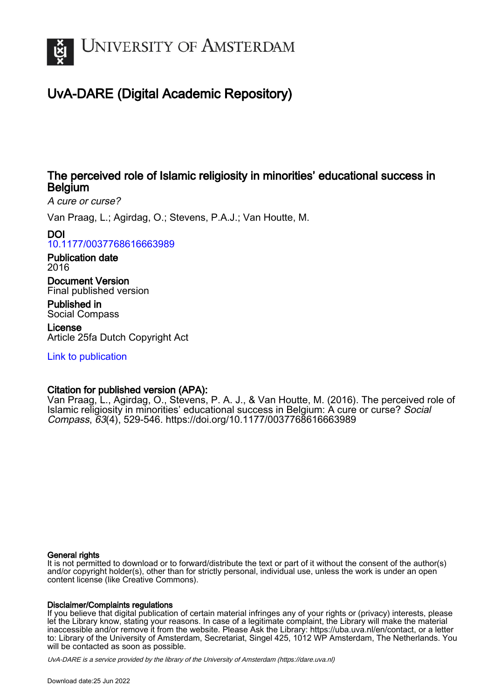

# UvA-DARE (Digital Academic Repository)

## The perceived role of Islamic religiosity in minorities' educational success in Belgium

A cure or curse?

Van Praag, L.; Agirdag, O.; Stevens, P.A.J.; Van Houtte, M.

## DOI

[10.1177/0037768616663989](https://doi.org/10.1177/0037768616663989)

Publication date 2016

Document Version Final published version

Published in Social Compass

License Article 25fa Dutch Copyright Act

[Link to publication](https://dare.uva.nl/personal/pure/en/publications/the-perceived-role-of-islamic-religiosity-in-minorities-educational-success-in-belgium(740473f7-c13d-437b-9aac-6bc3960acad8).html)

## Citation for published version (APA):

Van Praag, L., Agirdag, O., Stevens, P. A. J., & Van Houtte, M. (2016). The perceived role of Islamic religiosity in minorities' educational success in Belgium: A cure or curse? Social Compass, 63(4), 529-546. <https://doi.org/10.1177/0037768616663989>

### General rights

It is not permitted to download or to forward/distribute the text or part of it without the consent of the author(s) and/or copyright holder(s), other than for strictly personal, individual use, unless the work is under an open content license (like Creative Commons).

## Disclaimer/Complaints regulations

If you believe that digital publication of certain material infringes any of your rights or (privacy) interests, please let the Library know, stating your reasons. In case of a legitimate complaint, the Library will make the material inaccessible and/or remove it from the website. Please Ask the Library: https://uba.uva.nl/en/contact, or a letter to: Library of the University of Amsterdam, Secretariat, Singel 425, 1012 WP Amsterdam, The Netherlands. You will be contacted as soon as possible.

UvA-DARE is a service provided by the library of the University of Amsterdam (http*s*://dare.uva.nl)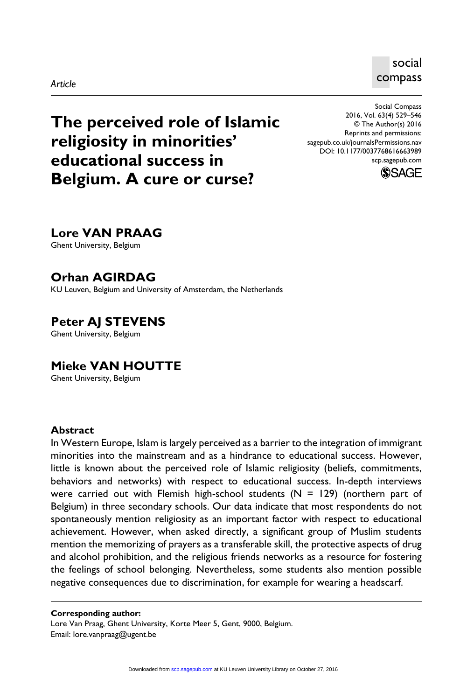#### *Article*

social compass

**The perceived role of Islamic religiosity in minorities' educational success in Belgium. A cure or curse?**

Social Compass 2016, Vol. 63(4) 529–546 © The Author(s) 2016 Reprints and permissions: sagepub.co.uk/journalsPermissions.nav DOI: 10.1177/0037768616663989 scp.sagepub.com



## **Lore VAN PRAAG**

Ghent University, Belgium

## **Orhan AGIRDAG**

KU Leuven, Belgium and University of Amsterdam, the Netherlands

**Peter AJ STEVENS** Ghent University, Belgium

## **Mieke VAN HOUTTE**

Ghent University, Belgium

#### **Abstract**

In Western Europe, Islam is largely perceived as a barrier to the integration of immigrant minorities into the mainstream and as a hindrance to educational success. However, little is known about the perceived role of Islamic religiosity (beliefs, commitments, behaviors and networks) with respect to educational success. In-depth interviews were carried out with Flemish high-school students  $(N = 129)$  (northern part of Belgium) in three secondary schools. Our data indicate that most respondents do not spontaneously mention religiosity as an important factor with respect to educational achievement. However, when asked directly, a significant group of Muslim students mention the memorizing of prayers as a transferable skill, the protective aspects of drug and alcohol prohibition, and the religious friends networks as a resource for fostering the feelings of school belonging. Nevertheless, some students also mention possible negative consequences due to discrimination, for example for wearing a headscarf.

#### **Corresponding author:**

Lore Van Praag, Ghent University, Korte Meer 5, Gent, 9000, Belgium. Email: [lore.vanpraag@ugent.be](mailto:lore.vanpraag@ugent.be)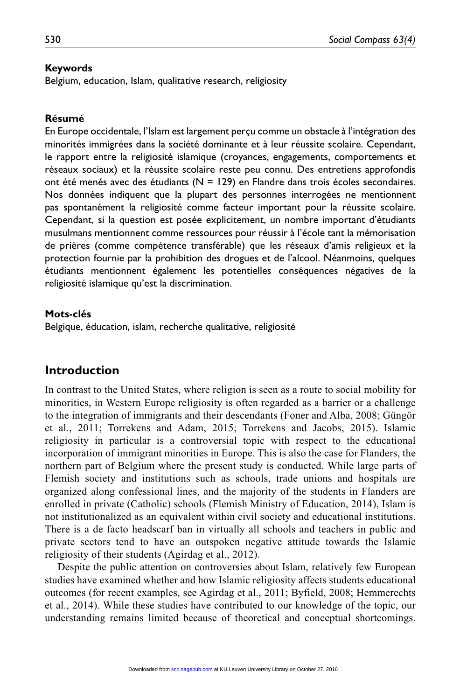#### **Keywords**

Belgium, education, Islam, qualitative research, religiosity

#### **Résumé**

En Europe occidentale, l'Islam est largement perçu comme un obstacle à l'intégration des minorités immigrées dans la société dominante et à leur réussite scolaire. Cependant, le rapport entre la religiosité islamique (croyances, engagements, comportements et réseaux sociaux) et la réussite scolaire reste peu connu. Des entretiens approfondis ont été menés avec des étudiants  $(N = 129)$  en Flandre dans trois écoles secondaires. Nos données indiquent que la plupart des personnes interrogées ne mentionnent pas spontanément la religiosité comme facteur important pour la réussite scolaire. Cependant, si la question est posée explicitement, un nombre important d'étudiants musulmans mentionnent comme ressources pour réussir à l'école tant la mémorisation de prières (comme compétence transférable) que les réseaux d'amis religieux et la protection fournie par la prohibition des drogues et de l'alcool. Néanmoins, quelques étudiants mentionnent également les potentielles conséquences négatives de la religiosité islamique qu'est la discrimination.

#### **Mots-clés**

Belgique, éducation, islam, recherche qualitative, religiosité

### **Introduction**

In contrast to the United States, where religion is seen as a route to social mobility for minorities, in Western Europe religiosity is often regarded as a barrier or a challenge to the integration of immigrants and their descendants (Foner and Alba, 2008; Güngör et al., 2011; Torrekens and Adam, 2015; Torrekens and Jacobs, 2015). Islamic religiosity in particular is a controversial topic with respect to the educational incorporation of immigrant minorities in Europe. This is also the case for Flanders, the northern part of Belgium where the present study is conducted. While large parts of Flemish society and institutions such as schools, trade unions and hospitals are organized along confessional lines, and the majority of the students in Flanders are enrolled in private (Catholic) schools (Flemish Ministry of Education, 2014), Islam is not institutionalized as an equivalent within civil society and educational institutions. There is a de facto headscarf ban in virtually all schools and teachers in public and private sectors tend to have an outspoken negative attitude towards the Islamic religiosity of their students (Agirdag et al., 2012).

Despite the public attention on controversies about Islam, relatively few European studies have examined whether and how Islamic religiosity affects students educational outcomes (for recent examples, see Agirdag et al., 2011; Byfield, 2008; Hemmerechts et al., 2014). While these studies have contributed to our knowledge of the topic, our understanding remains limited because of theoretical and conceptual shortcomings.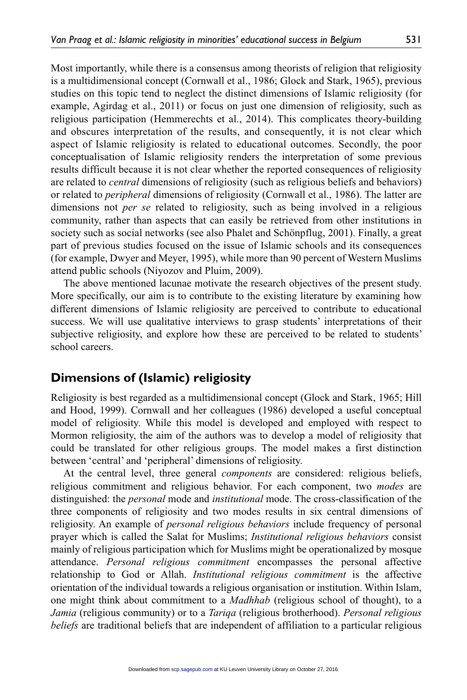Most importantly, while there is a consensus among theorists of religion that religiosity is a multidimensional concept (Cornwall et al., 1986; Glock and Stark, 1965), previous studies on this topic tend to neglect the distinct dimensions of Islamic religiosity (for example, Agirdag et al., 2011) or focus on just one dimension of religiosity, such as religious participation (Hemmerechts et al., 2014). This complicates theory-building and obscures interpretation of the results, and consequently, it is not clear which aspect of Islamic religiosity is related to educational outcomes. Secondly, the poor conceptualisation of Islamic religiosity renders the interpretation of some previous results difficult because it is not clear whether the reported consequences of religiosity are related to *central* dimensions of religiosity (such as religious beliefs and behaviors) or related to *peripheral* dimensions of religiosity (Cornwall et al., 1986). The latter are dimensions not *per se* related to religiosity, such as being involved in a religious community, rather than aspects that can easily be retrieved from other institutions in society such as social networks (see also Phalet and Schönpflug, 2001). Finally, a great part of previous studies focused on the issue of Islamic schools and its consequences (for example, Dwyer and Meyer, 1995), while more than 90 percent of Western Muslims attend public schools (Niyozov and Pluim, 2009).

The above mentioned lacunae motivate the research objectives of the present study. More specifically, our aim is to contribute to the existing literature by examining how different dimensions of Islamic religiosity are perceived to contribute to educational success. We will use qualitative interviews to grasp students' interpretations of their subjective religiosity, and explore how these are perceived to be related to students' school careers.

### **Dimensions of (Islamic) religiosity**

Religiosity is best regarded as a multidimensional concept (Glock and Stark, 1965; Hill and Hood, 1999). Cornwall and her colleagues (1986) developed a useful conceptual model of religiosity. While this model is developed and employed with respect to Mormon religiosity, the aim of the authors was to develop a model of religiosity that could be translated for other religious groups. The model makes a first distinction between 'central' and 'peripheral' dimensions of religiosity.

At the central level, three general *components* are considered: religious beliefs, religious commitment and religious behavior. For each component, two *modes* are distinguished: the *personal* mode and *institutional* mode. The cross-classification of the three components of religiosity and two modes results in six central dimensions of religiosity. An example of *personal religious behaviors* include frequency of personal prayer which is called the Salat for Muslims; *Institutional religious behaviors* consist mainly of religious participation which for Muslims might be operationalized by mosque attendance. *Personal religious commitment* encompasses the personal affective relationship to God or Allah. *Institutional religious commitment* is the affective orientation of the individual towards a religious organisation or institution. Within Islam, one might think about commitment to a *Madhhab* (religious school of thought), to a *Jamia* (religious community) or to a *Tariqa* (religious brotherhood). *Personal religious beliefs* are traditional beliefs that are independent of affiliation to a particular religious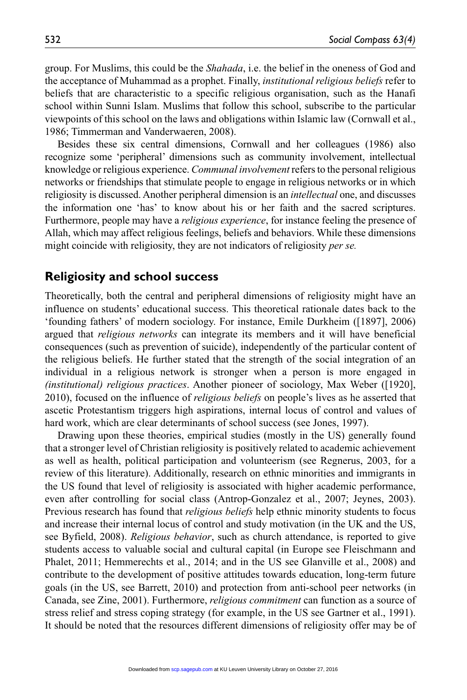group. For Muslims, this could be the *Shahada*, i.e. the belief in the oneness of God and the acceptance of Muhammad as a prophet. Finally, *institutional religious beliefs* refer to beliefs that are characteristic to a specific religious organisation, such as the Hanafi school within Sunni Islam. Muslims that follow this school, subscribe to the particular viewpoints of this school on the laws and obligations within Islamic law (Cornwall et al., 1986; Timmerman and Vanderwaeren, 2008).

Besides these six central dimensions, Cornwall and her colleagues (1986) also recognize some 'peripheral' dimensions such as community involvement, intellectual knowledge or religious experience. *Communal involvement* refers to the personal religious networks or friendships that stimulate people to engage in religious networks or in which religiosity is discussed. Another peripheral dimension is an *intellectual* one, and discusses the information one 'has' to know about his or her faith and the sacred scriptures. Furthermore, people may have a *religious experience*, for instance feeling the presence of Allah, which may affect religious feelings, beliefs and behaviors. While these dimensions might coincide with religiosity, they are not indicators of religiosity *per se.*

#### **Religiosity and school success**

Theoretically, both the central and peripheral dimensions of religiosity might have an influence on students' educational success. This theoretical rationale dates back to the 'founding fathers' of modern sociology. For instance, Emile Durkheim ([1897], 2006) argued that *religious networks* can integrate its members and it will have beneficial consequences (such as prevention of suicide), independently of the particular content of the religious beliefs. He further stated that the strength of the social integration of an individual in a religious network is stronger when a person is more engaged in *(institutional) religious practices*. Another pioneer of sociology, Max Weber ([1920], 2010), focused on the influence of *religious beliefs* on people's lives as he asserted that ascetic Protestantism triggers high aspirations, internal locus of control and values of hard work, which are clear determinants of school success (see Jones, 1997).

Drawing upon these theories, empirical studies (mostly in the US) generally found that a stronger level of Christian religiosity is positively related to academic achievement as well as health, political participation and volunteerism (see Regnerus, 2003, for a review of this literature). Additionally, research on ethnic minorities and immigrants in the US found that level of religiosity is associated with higher academic performance, even after controlling for social class (Antrop-Gonzalez et al., 2007; Jeynes, 2003). Previous research has found that *religious beliefs* help ethnic minority students to focus and increase their internal locus of control and study motivation (in the UK and the US, see Byfield, 2008). *Religious behavior*, such as church attendance, is reported to give students access to valuable social and cultural capital (in Europe see Fleischmann and Phalet, 2011; Hemmerechts et al., 2014; and in the US see Glanville et al., 2008) and contribute to the development of positive attitudes towards education, long-term future goals (in the US, see Barrett, 2010) and protection from anti-school peer networks (in Canada, see Zine, 2001). Furthermore, *religious commitment* can function as a source of stress relief and stress coping strategy (for example, in the US see Gartner et al., 1991). It should be noted that the resources different dimensions of religiosity offer may be of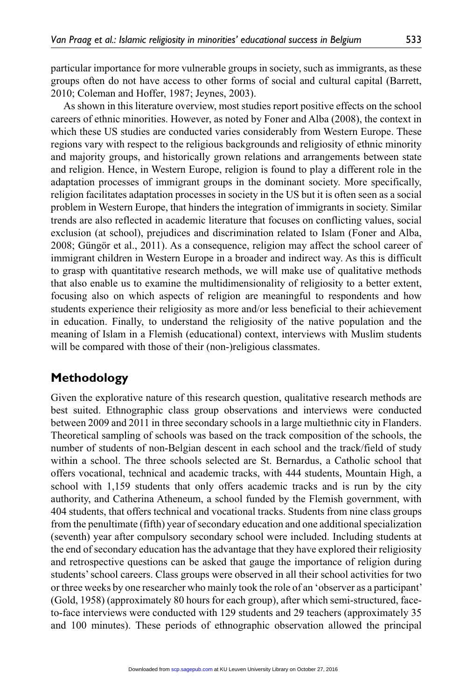particular importance for more vulnerable groups in society, such as immigrants, as these groups often do not have access to other forms of social and cultural capital (Barrett, 2010; Coleman and Hoffer, 1987; Jeynes, 2003).

As shown in this literature overview, most studies report positive effects on the school careers of ethnic minorities. However, as noted by Foner and Alba (2008), the context in which these US studies are conducted varies considerably from Western Europe. These regions vary with respect to the religious backgrounds and religiosity of ethnic minority and majority groups, and historically grown relations and arrangements between state and religion. Hence, in Western Europe, religion is found to play a different role in the adaptation processes of immigrant groups in the dominant society. More specifically, religion facilitates adaptation processes in society in the US but it is often seen as a social problem in Western Europe, that hinders the integration of immigrants in society. Similar trends are also reflected in academic literature that focuses on conflicting values, social exclusion (at school), prejudices and discrimination related to Islam (Foner and Alba, 2008; Güngör et al., 2011). As a consequence, religion may affect the school career of immigrant children in Western Europe in a broader and indirect way. As this is difficult to grasp with quantitative research methods, we will make use of qualitative methods that also enable us to examine the multidimensionality of religiosity to a better extent, focusing also on which aspects of religion are meaningful to respondents and how students experience their religiosity as more and/or less beneficial to their achievement in education. Finally, to understand the religiosity of the native population and the meaning of Islam in a Flemish (educational) context, interviews with Muslim students will be compared with those of their (non-)religious classmates.

## **Methodology**

Given the explorative nature of this research question, qualitative research methods are best suited. Ethnographic class group observations and interviews were conducted between 2009 and 2011 in three secondary schools in a large multiethnic city in Flanders. Theoretical sampling of schools was based on the track composition of the schools, the number of students of non-Belgian descent in each school and the track/field of study within a school. The three schools selected are St. Bernardus, a Catholic school that offers vocational, technical and academic tracks, with 444 students, Mountain High, a school with 1,159 students that only offers academic tracks and is run by the city authority, and Catherina Atheneum, a school funded by the Flemish government, with 404 students, that offers technical and vocational tracks. Students from nine class groups from the penultimate (fifth) year of secondary education and one additional specialization (seventh) year after compulsory secondary school were included. Including students at the end of secondary education has the advantage that they have explored their religiosity and retrospective questions can be asked that gauge the importance of religion during students' school careers. Class groups were observed in all their school activities for two or three weeks by one researcher who mainly took the role of an 'observer as a participant' (Gold, 1958) (approximately 80 hours for each group), after which semi-structured, faceto-face interviews were conducted with 129 students and 29 teachers (approximately 35 and 100 minutes). These periods of ethnographic observation allowed the principal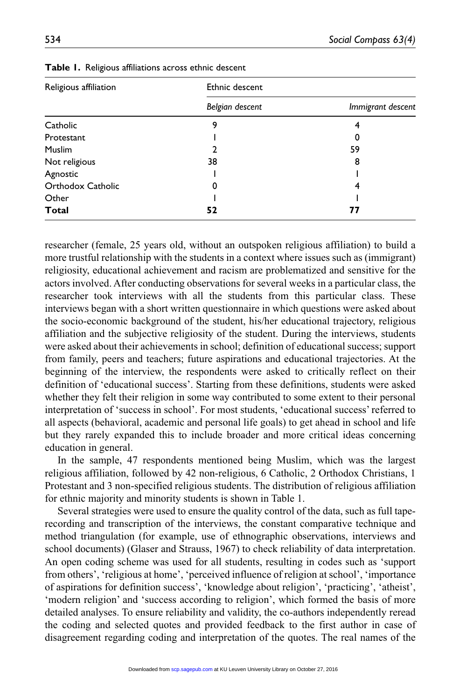| Religious affiliation | Ethnic descent  |                   |
|-----------------------|-----------------|-------------------|
|                       | Belgian descent | Immigrant descent |
| Catholic              | 9               |                   |
| Protestant            |                 | 0                 |
| <b>Muslim</b>         | 2               | 59                |
| Not religious         | 38              | 8                 |
| Agnostic              |                 |                   |
| Orthodox Catholic     | 0               |                   |
| Other                 |                 |                   |
| <b>Total</b>          | 52              | 77                |

**Table 1.** Religious affiliations across ethnic descent

researcher (female, 25 years old, without an outspoken religious affiliation) to build a more trustful relationship with the students in a context where issues such as (immigrant) religiosity, educational achievement and racism are problematized and sensitive for the actors involved. After conducting observations for several weeks in a particular class, the researcher took interviews with all the students from this particular class. These interviews began with a short written questionnaire in which questions were asked about the socio-economic background of the student, his/her educational trajectory, religious affiliation and the subjective religiosity of the student. During the interviews, students were asked about their achievements in school; definition of educational success; support from family, peers and teachers; future aspirations and educational trajectories. At the beginning of the interview, the respondents were asked to critically reflect on their definition of 'educational success'. Starting from these definitions, students were asked whether they felt their religion in some way contributed to some extent to their personal interpretation of 'success in school'. For most students, 'educational success' referred to all aspects (behavioral, academic and personal life goals) to get ahead in school and life but they rarely expanded this to include broader and more critical ideas concerning education in general.

In the sample, 47 respondents mentioned being Muslim, which was the largest religious affiliation, followed by 42 non-religious, 6 Catholic, 2 Orthodox Christians, 1 Protestant and 3 non-specified religious students. The distribution of religious affiliation for ethnic majority and minority students is shown in Table 1.

Several strategies were used to ensure the quality control of the data, such as full taperecording and transcription of the interviews, the constant comparative technique and method triangulation (for example, use of ethnographic observations, interviews and school documents) (Glaser and Strauss, 1967) to check reliability of data interpretation. An open coding scheme was used for all students, resulting in codes such as 'support from others', 'religious at home', 'perceived influence of religion at school', 'importance of aspirations for definition success', 'knowledge about religion', 'practicing', 'atheist', 'modern religion' and 'success according to religion', which formed the basis of more detailed analyses. To ensure reliability and validity, the co-authors independently reread the coding and selected quotes and provided feedback to the first author in case of disagreement regarding coding and interpretation of the quotes. The real names of the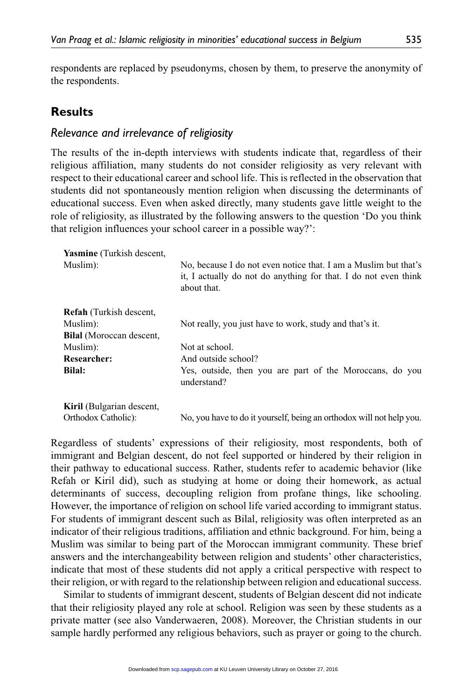respondents are replaced by pseudonyms, chosen by them, to preserve the anonymity of the respondents.

## **Results**

### *Relevance and irrelevance of religiosity*

The results of the in-depth interviews with students indicate that, regardless of their religious affiliation, many students do not consider religiosity as very relevant with respect to their educational career and school life. This is reflected in the observation that students did not spontaneously mention religion when discussing the determinants of educational success. Even when asked directly, many students gave little weight to the role of religiosity, as illustrated by the following answers to the question 'Do you think that religion influences your school career in a possible way?':

| <b>Yasmine</b> (Turkish descent, |                                                                                                                                                   |
|----------------------------------|---------------------------------------------------------------------------------------------------------------------------------------------------|
| Muslim:                          | No, because I do not even notice that. I am a Muslim but that's<br>it, I actually do not do anything for that. I do not even think<br>about that. |
| <b>Refah</b> (Turkish descent,   |                                                                                                                                                   |
| Muslim:                          | Not really, you just have to work, study and that's it.                                                                                           |
| Bilal (Moroccan descent,         |                                                                                                                                                   |
| Muslim:                          | Not at school.                                                                                                                                    |
| <b>Researcher:</b>               | And outside school?                                                                                                                               |
| Bilal:                           | Yes, outside, then you are part of the Moroccans, do you<br>understand?                                                                           |
| <b>Kiril</b> (Bulgarian descent, |                                                                                                                                                   |
| Orthodox Catholic):              | No, you have to do it yourself, being an orthodox will not help you.                                                                              |

Regardless of students' expressions of their religiosity, most respondents, both of immigrant and Belgian descent, do not feel supported or hindered by their religion in their pathway to educational success. Rather, students refer to academic behavior (like Refah or Kiril did), such as studying at home or doing their homework, as actual determinants of success, decoupling religion from profane things, like schooling. However, the importance of religion on school life varied according to immigrant status. For students of immigrant descent such as Bilal, religiosity was often interpreted as an indicator of their religious traditions, affiliation and ethnic background. For him, being a Muslim was similar to being part of the Moroccan immigrant community. These brief answers and the interchangeability between religion and students' other characteristics, indicate that most of these students did not apply a critical perspective with respect to their religion, or with regard to the relationship between religion and educational success.

Similar to students of immigrant descent, students of Belgian descent did not indicate that their religiosity played any role at school. Religion was seen by these students as a private matter (see also Vanderwaeren, 2008). Moreover, the Christian students in our sample hardly performed any religious behaviors, such as prayer or going to the church.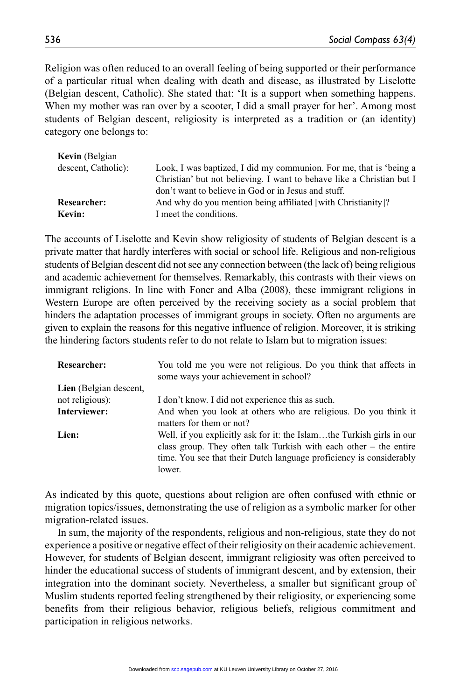Religion was often reduced to an overall feeling of being supported or their performance of a particular ritual when dealing with death and disease, as illustrated by Liselotte (Belgian descent, Catholic). She stated that: 'It is a support when something happens. When my mother was ran over by a scooter, I did a small prayer for her'. Among most students of Belgian descent, religiosity is interpreted as a tradition or (an identity) category one belongs to:

| Look, I was baptized, I did my communion. For me, that is 'being a    |
|-----------------------------------------------------------------------|
| Christian' but not believing. I want to behave like a Christian but I |
| don't want to believe in God or in Jesus and stuff.                   |
| And why do you mention being affiliated [with Christianity]?          |
| I meet the conditions.                                                |
|                                                                       |

The accounts of Liselotte and Kevin show religiosity of students of Belgian descent is a private matter that hardly interferes with social or school life. Religious and non-religious students of Belgian descent did not see any connection between (the lack of) being religious and academic achievement for themselves. Remarkably, this contrasts with their views on immigrant religions. In line with Foner and Alba (2008), these immigrant religions in Western Europe are often perceived by the receiving society as a social problem that hinders the adaptation processes of immigrant groups in society. Often no arguments are given to explain the reasons for this negative influence of religion. Moreover, it is striking the hindering factors students refer to do not relate to Islam but to migration issues:

| <b>Researcher:</b>     | You told me you were not religious. Do you think that affects in<br>some ways your achievement in school?                                                                                                                     |
|------------------------|-------------------------------------------------------------------------------------------------------------------------------------------------------------------------------------------------------------------------------|
| Lien (Belgian descent, |                                                                                                                                                                                                                               |
| not religious):        | I don't know. I did not experience this as such.                                                                                                                                                                              |
| Interviewer:           | And when you look at others who are religious. Do you think it<br>matters for them or not?                                                                                                                                    |
| Lien:                  | Well, if you explicitly ask for it: the Islamthe Turkish girls in our<br>class group. They often talk Turkish with each other $-$ the entire<br>time. You see that their Dutch language proficiency is considerably<br>lower. |

As indicated by this quote, questions about religion are often confused with ethnic or migration topics/issues, demonstrating the use of religion as a symbolic marker for other migration-related issues.

In sum, the majority of the respondents, religious and non-religious, state they do not experience a positive or negative effect of their religiosity on their academic achievement. However, for students of Belgian descent, immigrant religiosity was often perceived to hinder the educational success of students of immigrant descent, and by extension, their integration into the dominant society. Nevertheless, a smaller but significant group of Muslim students reported feeling strengthened by their religiosity, or experiencing some benefits from their religious behavior, religious beliefs, religious commitment and participation in religious networks.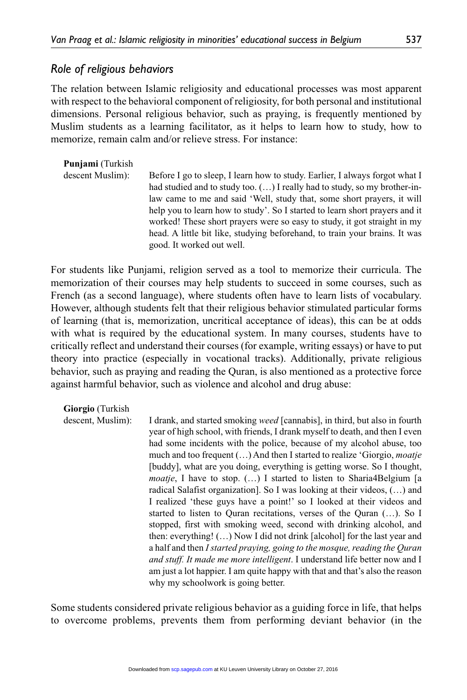### *Role of religious behaviors*

The relation between Islamic religiosity and educational processes was most apparent with respect to the behavioral component of religiosity, for both personal and institutional dimensions. Personal religious behavior, such as praying, is frequently mentioned by Muslim students as a learning facilitator, as it helps to learn how to study, how to memorize, remain calm and/or relieve stress. For instance:

| <b>Punjami</b> (Turkish<br>descent Muslim): | Before I go to sleep, I learn how to study. Earlier, I always forgot what I<br>had studied and to study too. () I really had to study, so my brother-in-<br>law came to me and said 'Well, study that, some short prayers, it will<br>help you to learn how to study'. So I started to learn short prayers and it<br>worked! These short prayers were so easy to study, it got straight in my<br>head. A little bit like, studying beforehand, to train your brains. It was |
|---------------------------------------------|-----------------------------------------------------------------------------------------------------------------------------------------------------------------------------------------------------------------------------------------------------------------------------------------------------------------------------------------------------------------------------------------------------------------------------------------------------------------------------|
|                                             | good. It worked out well.                                                                                                                                                                                                                                                                                                                                                                                                                                                   |

For students like Punjami, religion served as a tool to memorize their curricula. The memorization of their courses may help students to succeed in some courses, such as French (as a second language), where students often have to learn lists of vocabulary. However, although students felt that their religious behavior stimulated particular forms of learning (that is, memorization, uncritical acceptance of ideas), this can be at odds with what is required by the educational system. In many courses, students have to critically reflect and understand their courses (for example, writing essays) or have to put theory into practice (especially in vocational tracks). Additionally, private religious behavior, such as praying and reading the Quran, is also mentioned as a protective force against harmful behavior, such as violence and alcohol and drug abuse:

**Giorgio** (Turkish

descent, Muslim): I drank, and started smoking *weed* [cannabis], in third, but also in fourth year of high school, with friends, I drank myself to death, and then I even had some incidents with the police, because of my alcohol abuse, too much and too frequent (…) And then I started to realize 'Giorgio, *moatje* [buddy], what are you doing, everything is getting worse. So I thought, *moatje*, I have to stop. (…) I started to listen to Sharia4Belgium [a radical Salafist organization]. So I was looking at their videos, (…) and I realized 'these guys have a point!' so I looked at their videos and started to listen to Quran recitations, verses of the Quran (…). So I stopped, first with smoking weed, second with drinking alcohol, and then: everything! (…) Now I did not drink [alcohol] for the last year and a half and then *I started praying, going to the mosque, reading the Quran and stuff. It made me more intelligent*. I understand life better now and I am just a lot happier. I am quite happy with that and that's also the reason why my schoolwork is going better.

Some students considered private religious behavior as a guiding force in life, that helps to overcome problems, prevents them from performing deviant behavior (in the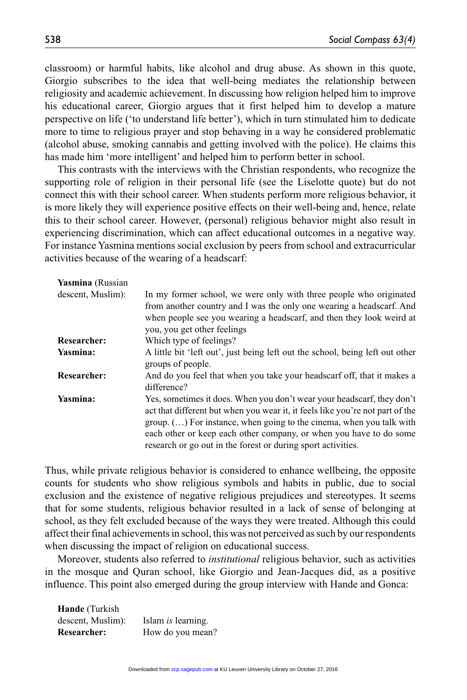classroom) or harmful habits, like alcohol and drug abuse. As shown in this quote, Giorgio subscribes to the idea that well-being mediates the relationship between religiosity and academic achievement. In discussing how religion helped him to improve his educational career, Giorgio argues that it first helped him to develop a mature perspective on life ('to understand life better'), which in turn stimulated him to dedicate more to time to religious prayer and stop behaving in a way he considered problematic (alcohol abuse, smoking cannabis and getting involved with the police). He claims this has made him 'more intelligent' and helped him to perform better in school.

This contrasts with the interviews with the Christian respondents, who recognize the supporting role of religion in their personal life (see the Liselotte quote) but do not connect this with their school career. When students perform more religious behavior, it is more likely they will experience positive effects on their well-being and, hence, relate this to their school career. However, (personal) religious behavior might also result in experiencing discrimination, which can affect educational outcomes in a negative way. For instance Yasmina mentions social exclusion by peers from school and extracurricular activities because of the wearing of a headscarf:

| Yasmina (Russian   |                                                                                                                                                                                                                                                                                                                                                                         |
|--------------------|-------------------------------------------------------------------------------------------------------------------------------------------------------------------------------------------------------------------------------------------------------------------------------------------------------------------------------------------------------------------------|
| descent, Muslim):  | In my former school, we were only with three people who originated<br>from another country and I was the only one wearing a headscarf. And<br>when people see you wearing a headscarf, and then they look weird at<br>you, you get other feelings                                                                                                                       |
| <b>Researcher:</b> | Which type of feelings?                                                                                                                                                                                                                                                                                                                                                 |
| Yasmina:           | A little bit 'left out', just being left out the school, being left out other<br>groups of people.                                                                                                                                                                                                                                                                      |
| <b>Researcher:</b> | And do you feel that when you take your headscarf off, that it makes a<br>difference?                                                                                                                                                                                                                                                                                   |
| Yasmina:           | Yes, sometimes it does. When you don't wear your headscarf, they don't<br>act that different but when you wear it, it feels like you're not part of the<br>$group. ()$ For instance, when going to the cinema, when you talk with<br>each other or keep each other company, or when you have to do some<br>research or go out in the forest or during sport activities. |

Thus, while private religious behavior is considered to enhance wellbeing, the opposite counts for students who show religious symbols and habits in public, due to social exclusion and the existence of negative religious prejudices and stereotypes. It seems that for some students, religious behavior resulted in a lack of sense of belonging at school, as they felt excluded because of the ways they were treated. Although this could affect their final achievements in school, this was not perceived as such by our respondents when discussing the impact of religion on educational success.

Moreover, students also referred to *institutional* religious behavior, such as activities in the mosque and Quran school, like Giorgio and Jean-Jacques did, as a positive influence. This point also emerged during the group interview with Hande and Gonca:

**Hande** (Turkish descent, Muslim): Islam *is* learning. **Researcher:** How do you mean?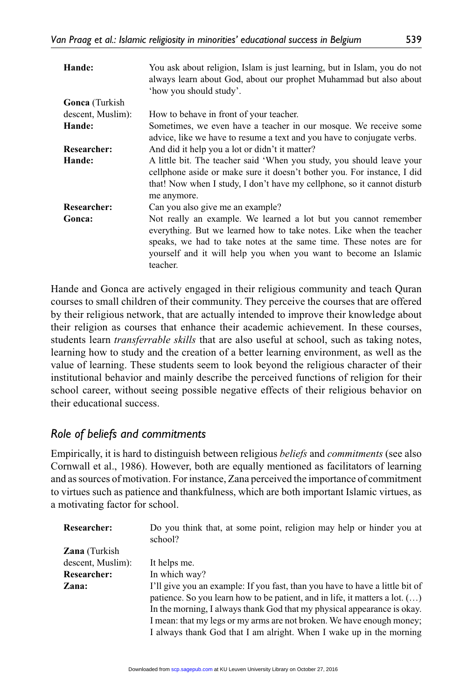| Hande:                | You ask about religion, Islam is just learning, but in Islam, you do not<br>always learn about God, about our prophet Muhammad but also about<br>'how you should study'.                                                                                                                     |
|-----------------------|----------------------------------------------------------------------------------------------------------------------------------------------------------------------------------------------------------------------------------------------------------------------------------------------|
| <b>Gonca</b> (Turkish |                                                                                                                                                                                                                                                                                              |
| descent, Muslim):     | How to behave in front of your teacher.                                                                                                                                                                                                                                                      |
| Hande:                | Sometimes, we even have a teacher in our mosque. We receive some<br>advice, like we have to resume a text and you have to conjugate verbs.                                                                                                                                                   |
| <b>Researcher:</b>    | And did it help you a lot or didn't it matter?                                                                                                                                                                                                                                               |
| Hande:                | A little bit. The teacher said 'When you study, you should leave your<br>cellphone aside or make sure it doesn't bother you. For instance, I did<br>that! Now when I study, I don't have my cellphone, so it cannot disturb<br>me anymore.                                                   |
| Researcher:           | Can you also give me an example?                                                                                                                                                                                                                                                             |
| Gonca:                | Not really an example. We learned a lot but you cannot remember<br>everything. But we learned how to take notes. Like when the teacher<br>speaks, we had to take notes at the same time. These notes are for<br>yourself and it will help you when you want to become an Islamic<br>teacher. |

Hande and Gonca are actively engaged in their religious community and teach Quran courses to small children of their community. They perceive the courses that are offered by their religious network, that are actually intended to improve their knowledge about their religion as courses that enhance their academic achievement. In these courses, students learn *transferrable skills* that are also useful at school, such as taking notes, learning how to study and the creation of a better learning environment, as well as the value of learning. These students seem to look beyond the religious character of their institutional behavior and mainly describe the perceived functions of religion for their school career, without seeing possible negative effects of their religious behavior on their educational success.

## *Role of beliefs and commitments*

Empirically, it is hard to distinguish between religious *beliefs* and *commitments* (see also Cornwall et al., 1986). However, both are equally mentioned as facilitators of learning and as sources of motivation. For instance, Zana perceived the importance of commitment to virtues such as patience and thankfulness, which are both important Islamic virtues, as a motivating factor for school.

| Researcher:          | Do you think that, at some point, religion may help or hinder you at<br>school?                                                                                                                                                                                                                                                                                                               |
|----------------------|-----------------------------------------------------------------------------------------------------------------------------------------------------------------------------------------------------------------------------------------------------------------------------------------------------------------------------------------------------------------------------------------------|
| <b>Zana</b> (Turkish |                                                                                                                                                                                                                                                                                                                                                                                               |
| descent, Muslim):    | It helps me.                                                                                                                                                                                                                                                                                                                                                                                  |
| Researcher:          | In which way?                                                                                                                                                                                                                                                                                                                                                                                 |
| Zana:                | I'll give you an example: If you fast, than you have to have a little bit of<br>patience. So you learn how to be patient, and in life, it matters a lot. $(\dots)$<br>In the morning, I always thank God that my physical appearance is okay.<br>I mean: that my legs or my arms are not broken. We have enough money;<br>I always thank God that I am alright. When I wake up in the morning |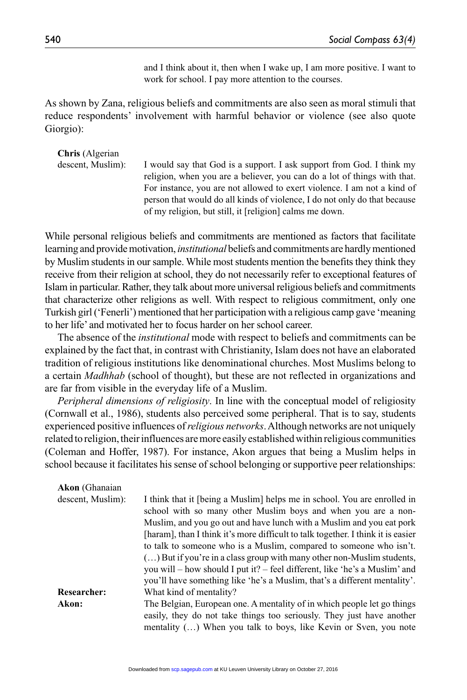and I think about it, then when I wake up, I am more positive. I want to work for school. I pay more attention to the courses.

As shown by Zana, religious beliefs and commitments are also seen as moral stimuli that reduce respondents' involvement with harmful behavior or violence (see also quote Giorgio):

**Chris** (Algerian descent, Muslim): I would say that God is a support. I ask support from God. I think my religion, when you are a believer, you can do a lot of things with that. For instance, you are not allowed to exert violence. I am not a kind of person that would do all kinds of violence, I do not only do that because of my religion, but still, it [religion] calms me down.

While personal religious beliefs and commitments are mentioned as factors that facilitate learning and provide motivation, *institutional* beliefs and commitments are hardly mentioned by Muslim students in our sample. While most students mention the benefits they think they receive from their religion at school, they do not necessarily refer to exceptional features of Islam in particular. Rather, they talk about more universal religious beliefs and commitments that characterize other religions as well. With respect to religious commitment, only one Turkish girl ('Fenerli') mentioned that her participation with a religious camp gave 'meaning to her life' and motivated her to focus harder on her school career.

The absence of the *institutional* mode with respect to beliefs and commitments can be explained by the fact that, in contrast with Christianity, Islam does not have an elaborated tradition of religious institutions like denominational churches. Most Muslims belong to a certain *Madhhab* (school of thought), but these are not reflected in organizations and are far from visible in the everyday life of a Muslim.

*Peripheral dimensions of religiosity*. In line with the conceptual model of religiosity (Cornwall et al., 1986), students also perceived some peripheral. That is to say, students experienced positive influences of *religious networks*. Although networks are not uniquely related to religion, their influences are more easily established within religious communities (Coleman and Hoffer, 1987). For instance, Akon argues that being a Muslim helps in school because it facilitates his sense of school belonging or supportive peer relationships:

| <b>Akon</b> (Ghanaian |                                                                                  |
|-----------------------|----------------------------------------------------------------------------------|
| descent, Muslim):     | I think that it [being a Muslim] helps me in school. You are enrolled in         |
|                       | school with so many other Muslim boys and when you are a non-                    |
|                       | Muslim, and you go out and have lunch with a Muslim and you eat pork             |
|                       | [haram], than I think it's more difficult to talk together. I think it is easier |
|                       | to talk to someone who is a Muslim, compared to someone who isn't.               |
|                       | $\ldots$ ) But if you're in a class group with many other non-Muslim students,   |
|                       | you will – how should I put it? – feel different, like 'he's a Muslim' and       |
|                       | you'll have something like 'he's a Muslim, that's a different mentality'.        |
| <b>Researcher:</b>    | What kind of mentality?                                                          |
| Akon:                 | The Belgian, European one. A mentality of in which people let go things          |
|                       | easily, they do not take things too seriously. They just have another            |
|                       | mentality () When you talk to boys, like Kevin or Sven, you note                 |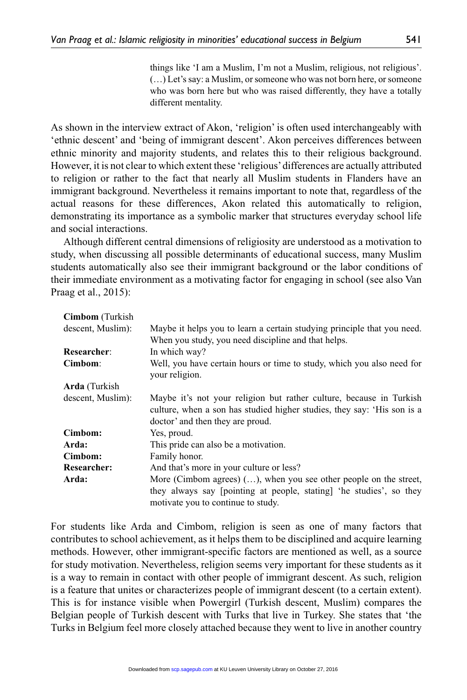things like 'I am a Muslim, I'm not a Muslim, religious, not religious'. (…) Let's say: a Muslim, or someone who was not born here, or someone who was born here but who was raised differently, they have a totally different mentality.

As shown in the interview extract of Akon, 'religion' is often used interchangeably with 'ethnic descent' and 'being of immigrant descent'. Akon perceives differences between ethnic minority and majority students, and relates this to their religious background. However, it is not clear to which extent these 'religious' differences are actually attributed to religion or rather to the fact that nearly all Muslim students in Flanders have an immigrant background. Nevertheless it remains important to note that, regardless of the actual reasons for these differences, Akon related this automatically to religion, demonstrating its importance as a symbolic marker that structures everyday school life and social interactions.

Although different central dimensions of religiosity are understood as a motivation to study, when discussing all possible determinants of educational success, many Muslim students automatically also see their immigrant background or the labor conditions of their immediate environment as a motivating factor for engaging in school (see also Van Praag et al., 2015):

| <b>Cimbom</b> (Turkish |                                                                                                                                                                                    |
|------------------------|------------------------------------------------------------------------------------------------------------------------------------------------------------------------------------|
| descent, Muslim):      | Maybe it helps you to learn a certain studying principle that you need.                                                                                                            |
|                        | When you study, you need discipline and that helps.                                                                                                                                |
| Researcher:            | In which way?                                                                                                                                                                      |
| Cimbom:                | Well, you have certain hours or time to study, which you also need for<br>your religion.                                                                                           |
| <b>Arda</b> (Turkish   |                                                                                                                                                                                    |
| descent, Muslim):      | Maybe it's not your religion but rather culture, because in Turkish<br>culture, when a son has studied higher studies, they say: 'His son is a<br>doctor' and then they are proud. |
| Cimbom:                | Yes, proud.                                                                                                                                                                        |
| Arda:                  | This pride can also be a motivation.                                                                                                                                               |
| Cimbom:                | Family honor.                                                                                                                                                                      |
| <b>Researcher:</b>     | And that's more in your culture or less?                                                                                                                                           |
| Arda:                  | More (Cimbom agrees) $()$ , when you see other people on the street,                                                                                                               |
|                        | they always say (pointing at people, stating) 'he studies', so they<br>motivate you to continue to study.                                                                          |

For students like Arda and Cimbom, religion is seen as one of many factors that contributes to school achievement, as it helps them to be disciplined and acquire learning methods. However, other immigrant-specific factors are mentioned as well, as a source for study motivation. Nevertheless, religion seems very important for these students as it is a way to remain in contact with other people of immigrant descent. As such, religion is a feature that unites or characterizes people of immigrant descent (to a certain extent). This is for instance visible when Powergirl (Turkish descent, Muslim) compares the Belgian people of Turkish descent with Turks that live in Turkey. She states that 'the Turks in Belgium feel more closely attached because they went to live in another country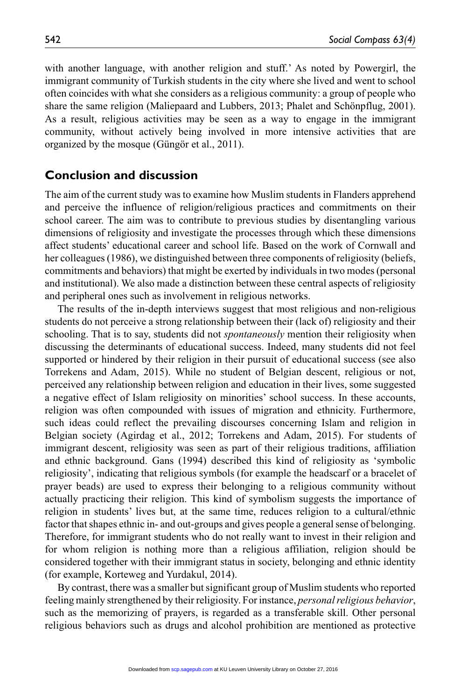with another language, with another religion and stuff.' As noted by Powergirl, the immigrant community of Turkish students in the city where she lived and went to school often coincides with what she considers as a religious community: a group of people who share the same religion (Maliepaard and Lubbers, 2013; Phalet and Schönpflug, 2001). As a result, religious activities may be seen as a way to engage in the immigrant community, without actively being involved in more intensive activities that are organized by the mosque (Güngör et al., 2011).

#### **Conclusion and discussion**

The aim of the current study was to examine how Muslim students in Flanders apprehend and perceive the influence of religion/religious practices and commitments on their school career. The aim was to contribute to previous studies by disentangling various dimensions of religiosity and investigate the processes through which these dimensions affect students' educational career and school life. Based on the work of Cornwall and her colleagues (1986), we distinguished between three components of religiosity (beliefs, commitments and behaviors) that might be exerted by individuals in two modes (personal and institutional). We also made a distinction between these central aspects of religiosity and peripheral ones such as involvement in religious networks.

The results of the in-depth interviews suggest that most religious and non-religious students do not perceive a strong relationship between their (lack of) religiosity and their schooling. That is to say, students did not *spontaneously* mention their religiosity when discussing the determinants of educational success. Indeed, many students did not feel supported or hindered by their religion in their pursuit of educational success (see also Torrekens and Adam, 2015). While no student of Belgian descent, religious or not, perceived any relationship between religion and education in their lives, some suggested a negative effect of Islam religiosity on minorities' school success. In these accounts, religion was often compounded with issues of migration and ethnicity. Furthermore, such ideas could reflect the prevailing discourses concerning Islam and religion in Belgian society (Agirdag et al., 2012; Torrekens and Adam, 2015). For students of immigrant descent, religiosity was seen as part of their religious traditions, affiliation and ethnic background. Gans (1994) described this kind of religiosity as 'symbolic religiosity', indicating that religious symbols (for example the headscarf or a bracelet of prayer beads) are used to express their belonging to a religious community without actually practicing their religion. This kind of symbolism suggests the importance of religion in students' lives but, at the same time, reduces religion to a cultural/ethnic factor that shapes ethnic in- and out-groups and gives people a general sense of belonging. Therefore, for immigrant students who do not really want to invest in their religion and for whom religion is nothing more than a religious affiliation, religion should be considered together with their immigrant status in society, belonging and ethnic identity (for example, Korteweg and Yurdakul, 2014).

By contrast, there was a smaller but significant group of Muslim students who reported feeling mainly strengthened by their religiosity. For instance, *personal religious behavior*, such as the memorizing of prayers, is regarded as a transferable skill. Other personal religious behaviors such as drugs and alcohol prohibition are mentioned as protective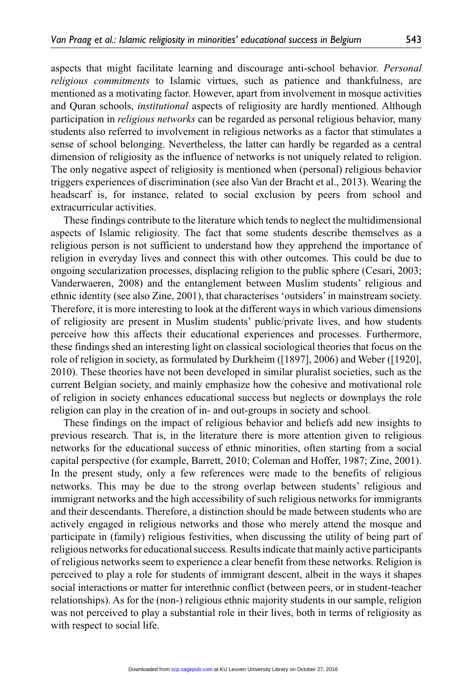aspects that might facilitate learning and discourage anti-school behavior. *Personal religious commitments* to Islamic virtues, such as patience and thankfulness, are mentioned as a motivating factor. However, apart from involvement in mosque activities and Quran schools, *institutional* aspects of religiosity are hardly mentioned. Although participation in *religious networks* can be regarded as personal religious behavior, many students also referred to involvement in religious networks as a factor that stimulates a sense of school belonging. Nevertheless, the latter can hardly be regarded as a central dimension of religiosity as the influence of networks is not uniquely related to religion. The only negative aspect of religiosity is mentioned when (personal) religious behavior triggers experiences of discrimination (see also Van der Bracht et al., 2013). Wearing the headscarf is, for instance, related to social exclusion by peers from school and extracurricular activities.

These findings contribute to the literature which tends to neglect the multidimensional aspects of Islamic religiosity. The fact that some students describe themselves as a religious person is not sufficient to understand how they apprehend the importance of religion in everyday lives and connect this with other outcomes. This could be due to ongoing secularization processes, displacing religion to the public sphere (Cesari, 2003; Vanderwaeren, 2008) and the entanglement between Muslim students' religious and ethnic identity (see also Zine, 2001), that characterises 'outsiders' in mainstream society. Therefore, it is more interesting to look at the different ways in which various dimensions of religiosity are present in Muslim students' public/private lives, and how students perceive how this affects their educational experiences and processes. Furthermore, these findings shed an interesting light on classical sociological theories that focus on the role of religion in society, as formulated by Durkheim ([1897], 2006) and Weber ([1920], 2010). These theories have not been developed in similar pluralist societies, such as the current Belgian society, and mainly emphasize how the cohesive and motivational role of religion in society enhances educational success but neglects or downplays the role religion can play in the creation of in- and out-groups in society and school.

These findings on the impact of religious behavior and beliefs add new insights to previous research. That is, in the literature there is more attention given to religious networks for the educational success of ethnic minorities, often starting from a social capital perspective (for example, Barrett, 2010; Coleman and Hoffer, 1987; Zine, 2001). In the present study, only a few references were made to the benefits of religious networks. This may be due to the strong overlap between students' religious and immigrant networks and the high accessibility of such religious networks for immigrants and their descendants. Therefore, a distinction should be made between students who are actively engaged in religious networks and those who merely attend the mosque and participate in (family) religious festivities, when discussing the utility of being part of religious networks for educational success. Results indicate that mainly active participants of religious networks seem to experience a clear benefit from these networks. Religion is perceived to play a role for students of immigrant descent, albeit in the ways it shapes social interactions or matter for interethnic conflict (between peers, or in student-teacher relationships). As for the (non-) religious ethnic majority students in our sample, religion was not perceived to play a substantial role in their lives, both in terms of religiosity as with respect to social life.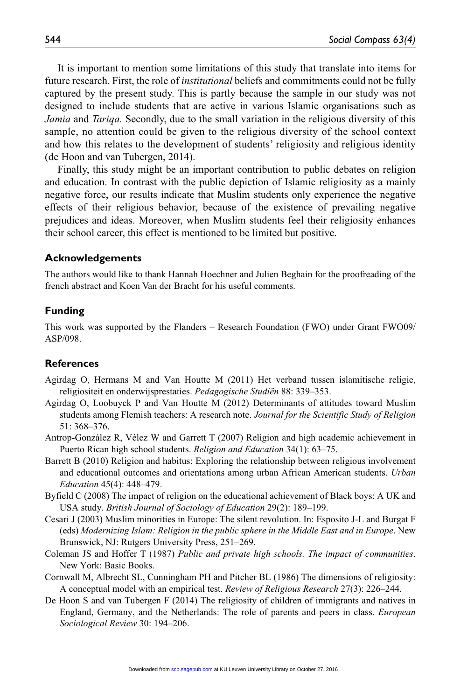It is important to mention some limitations of this study that translate into items for future research. First, the role of *institutional* beliefs and commitments could not be fully captured by the present study. This is partly because the sample in our study was not designed to include students that are active in various Islamic organisations such as *Jamia* and *Tariqa.* Secondly, due to the small variation in the religious diversity of this sample, no attention could be given to the religious diversity of the school context and how this relates to the development of students' religiosity and religious identity (de Hoon and van Tubergen, 2014).

Finally, this study might be an important contribution to public debates on religion and education. In contrast with the public depiction of Islamic religiosity as a mainly negative force, our results indicate that Muslim students only experience the negative effects of their religious behavior, because of the existence of prevailing negative prejudices and ideas. Moreover, when Muslim students feel their religiosity enhances their school career, this effect is mentioned to be limited but positive.

#### **Acknowledgements**

The authors would like to thank Hannah Hoechner and Julien Beghain for the proofreading of the french abstract and Koen Van der Bracht for his useful comments.

#### **Funding**

This work was supported by the Flanders – Research Foundation (FWO) under Grant FWO09/ ASP/098.

#### **References**

- Agirdag O, Hermans M and Van Houtte M (2011) Het verband tussen islamitische religie, religiositeit en onderwijsprestaties. *Pedagogische Studiën* 88: 339–353.
- Agirdag O, Loobuyck P and Van Houtte M (2012) Determinants of attitudes toward Muslim students among Flemish teachers: A research note. *Journal for the Scientific Study of Religion* 51: 368–376.
- Antrop-González R, Vélez W and Garrett T (2007) Religion and high academic achievement in Puerto Rican high school students. *Religion and Education* 34(1): 63–75.
- Barrett B (2010) Religion and habitus: Exploring the relationship between religious involvement and educational outcomes and orientations among urban African American students. *Urban Education* 45(4): 448–479.
- Byfield C (2008) The impact of religion on the educational achievement of Black boys: A UK and USA study. *British Journal of Sociology of Education* 29(2): 189–199.
- Cesari J (2003) Muslim minorities in Europe: The silent revolution. In: Esposito J-L and Burgat F (eds) *Modernizing Islam: Religion in the public sphere in the Middle East and in Europe*. New Brunswick, NJ: Rutgers University Press, 251–269.
- Coleman JS and Hoffer T (1987) *Public and private high schools. The impact of communities*. New York: Basic Books.
- Cornwall M, Albrecht SL, Cunningham PH and Pitcher BL (1986) The dimensions of religiosity: A conceptual model with an empirical test. *Review of Religious Research* 27(3): 226–244.
- De Hoon S and van Tubergen F (2014) The religiosity of children of immigrants and natives in England, Germany, and the Netherlands: The role of parents and peers in class. *European Sociological Review* 30: 194–206.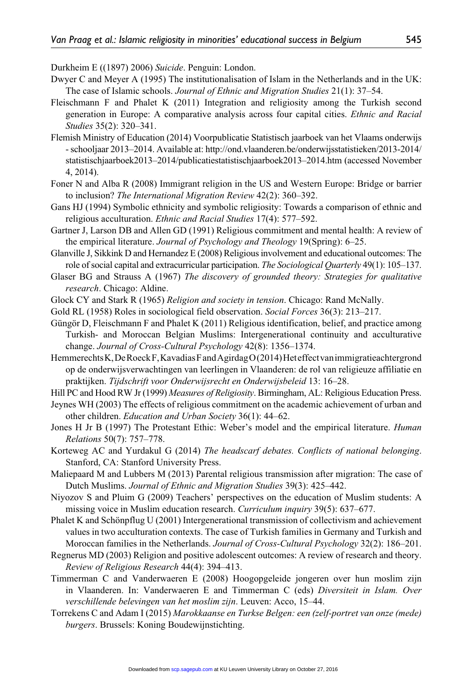Durkheim E ((1897) 2006) *Suicide*. Penguin: London.

- Dwyer C and Meyer A (1995) The institutionalisation of Islam in the Netherlands and in the UK: The case of Islamic schools. *Journal of Ethnic and Migration Studies* 21(1): 37–54.
- Fleischmann F and Phalet K (2011) Integration and religiosity among the Turkish second generation in Europe: A comparative analysis across four capital cities. *Ethnic and Racial Studies* 35(2): 320–341.
- Flemish Ministry of Education (2014) Voorpublicatie Statistisch jaarboek van het Vlaams onderwijs - schooljaar 2013–2014. Available at: [http://ond.vlaanderen.be/onderwijsstatistieken/2013-2014/](http://ond.vlaanderen.be/onderwijsstatistieken/2013-2014/statistischjaarboek2013%E2%80%932014/publicatiestatistischjaarboek2013%E2%80%932014.htm) [statistischjaarboek2013–2014/publicatiestatistischjaarboek2013–2014.htm](http://ond.vlaanderen.be/onderwijsstatistieken/2013-2014/statistischjaarboek2013%E2%80%932014/publicatiestatistischjaarboek2013%E2%80%932014.htm) (accessed November 4, 2014).
- Foner N and Alba R (2008) Immigrant religion in the US and Western Europe: Bridge or barrier to inclusion? *The International Migration Review* 42(2): 360–392.
- Gans HJ (1994) Symbolic ethnicity and symbolic religiosity: Towards a comparison of ethnic and religious acculturation. *Ethnic and Racial Studies* 17(4): 577–592.
- Gartner J, Larson DB and Allen GD (1991) Religious commitment and mental health: A review of the empirical literature. *Journal of Psychology and Theology* 19(Spring): 6–25.
- Glanville J, Sikkink D and Hernandez E (2008) Religious involvement and educational outcomes: The role of social capital and extracurricular participation. *The Sociological Quarterly* 49(1): 105–137.
- Glaser BG and Strauss A (1967) *The discovery of grounded theory: Strategies for qualitative research*. Chicago: Aldine.
- Glock CY and Stark R (1965) *Religion and society in tension*. Chicago: Rand McNally.
- Gold RL (1958) Roles in sociological field observation. *Social Forces* 36(3): 213–217.
- Güngör D, Fleischmann F and Phalet K (2011) Religious identification, belief, and practice among Turkish- and Moroccan Belgian Muslims: Intergenerational continuity and acculturative change. *Journal of Cross-Cultural Psychology* 42(8): 1356–1374.
- Hemmerechts K, De Roeck F, Kavadias F and Agirdag O (2014) Het effect van immigratieachtergrond op de onderwijsverwachtingen van leerlingen in Vlaanderen: de rol van religieuze affiliatie en praktijken. *Tijdschrift voor Onderwijsrecht en Onderwijsbeleid* 13: 16–28.
- Hill PC and Hood RW Jr (1999) *Measures of Religiosity*. Birmingham, AL: Religious Education Press.
- Jeynes WH (2003) The effects of religious commitment on the academic achievement of urban and other children. *Education and Urban Society* 36(1): 44–62.
- Jones H Jr B (1997) The Protestant Ethic: Weber's model and the empirical literature. *Human Relations* 50(7): 757–778.
- Korteweg AC and Yurdakul G (2014) *The headscarf debates. Conflicts of national belonging*. Stanford, CA: Stanford University Press.
- Maliepaard M and Lubbers M (2013) Parental religious transmission after migration: The case of Dutch Muslims. *Journal of Ethnic and Migration Studies* 39(3): 425–442.
- Niyozov S and Pluim G (2009) Teachers' perspectives on the education of Muslim students: A missing voice in Muslim education research. *Curriculum inquiry* 39(5): 637–677.
- Phalet K and Schönpflug U (2001) Intergenerational transmission of collectivism and achievement values in two acculturation contexts. The case of Turkish families in Germany and Turkish and Moroccan families in the Netherlands. *Journal of Cross-Cultural Psychology* 32(2): 186–201.
- Regnerus MD (2003) Religion and positive adolescent outcomes: A review of research and theory. *Review of Religious Research* 44(4): 394–413.
- Timmerman C and Vanderwaeren E (2008) Hoogopgeleide jongeren over hun moslim zijn in Vlaanderen. In: Vanderwaeren E and Timmerman C (eds) *Diversiteit in Islam. Over verschillende belevingen van het moslim zijn*. Leuven: Acco, 15–44.
- Torrekens C and Adam I (2015) *Marokkaanse en Turkse Belgen: een (zelf-portret van onze (mede) burgers*. Brussels: Koning Boudewijnstichting.